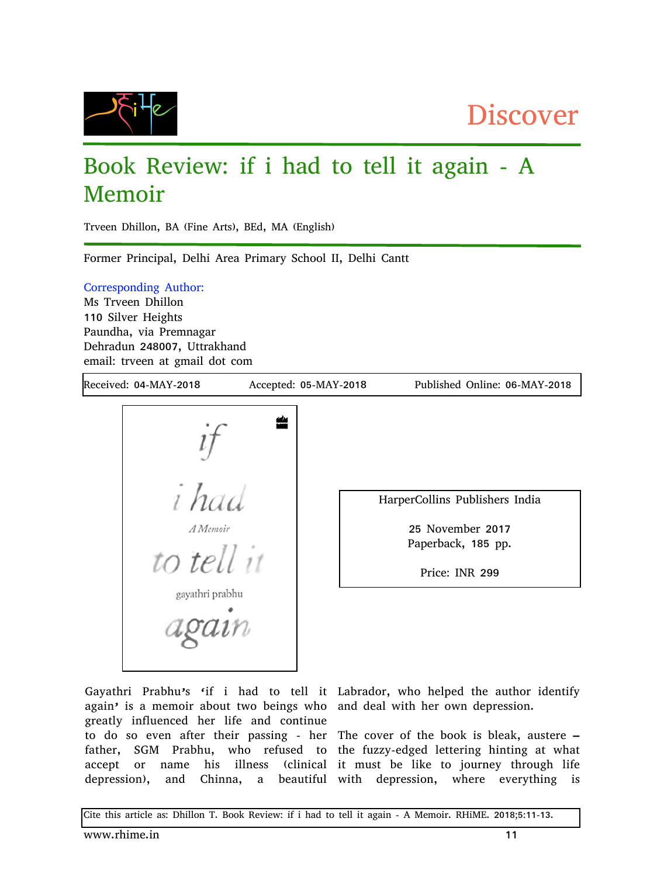

## Book Review: if i had to tell it again - A Memoir

Trveen Dhillon, BA (Fine Arts), BEd, MA (English)

Former Principal, Delhi Area Primary School II, Delhi Cantt

Corresponding Author:

Ms Trveen Dhillon 110 Silver Heights Paundha, via Premnagar Dehradun 248007, Uttrakhand email: trveen at gmail dot com

Received: 04-MAY-2018 Accepted: 05-MAY-2018 Published Online: 06-MAY-2018



HarperCollins Publishers India

25 November 2017 Paperback, 185 pp.

Price: INR 299

Gayathri Prabhu's 'if i had to tell it Labrador, who helped the author identify again' is a memoir about two beings who and deal with her own depression. greatly influenced her life and continue to do so even after their passing - her The cover of the book is bleak, austere – father, SGM Prabhu, who refused to the fuzzy-edged lettering hinting at what accept or name his illness (clinical it must be like to journey through life

depression), and Chinna, a beautiful with depression, where everything is

Cite this article as: Dhillon T. Book Review: if i had to tell it again - A Memoir. RHiME. 2018;5:11-13.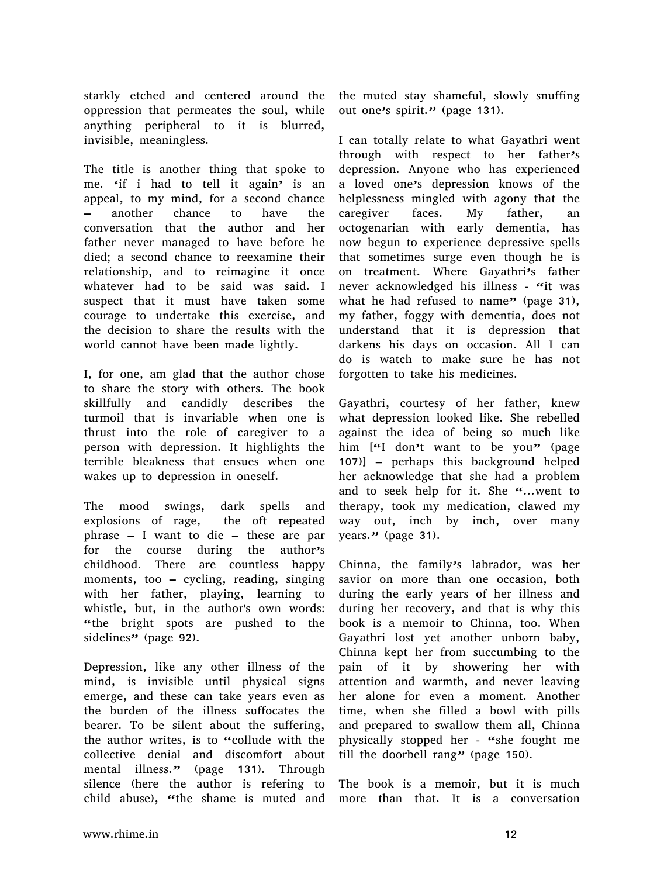starkly etched and centered around the oppression that permeates the soul, while anything peripheral to it is blurred, invisible, meaningless.

The title is another thing that spoke to me. 'if i had to tell it again' is an appeal, to my mind, for a second chance – another chance to have the conversation that the author and her father never managed to have before he died; a second chance to reexamine their relationship, and to reimagine it once whatever had to be said was said. I suspect that it must have taken some courage to undertake this exercise, and the decision to share the results with the world cannot have been made lightly.

I, for one, am glad that the author chose to share the story with others. The book skillfully and candidly describes the turmoil that is invariable when one is thrust into the role of caregiver to a person with depression. It highlights the terrible bleakness that ensues when one wakes up to depression in oneself.

The mood swings, dark spells and explosions of rage, the oft repeated phrase – I want to die – these are par for the course during the author's childhood. There are countless happy moments, too – cycling, reading, singing with her father, playing, learning to whistle, but, in the author's own words: "the bright spots are pushed to the sidelines" (page 92).

Depression, like any other illness of the mind, is invisible until physical signs emerge, and these can take years even as the burden of the illness suffocates the bearer. To be silent about the suffering, the author writes, is to "collude with the collective denial and discomfort about mental illness." (page 131). Through silence (here the author is refering to child abuse), "the shame is muted and

the muted stay shameful, slowly snuffing out one's spirit." (page 131).

I can totally relate to what Gayathri went through with respect to her father's depression. Anyone who has experienced a loved one's depression knows of the helplessness mingled with agony that the caregiver faces. My father, an octogenarian with early dementia, has now begun to experience depressive spells that sometimes surge even though he is on treatment. Where Gayathri's father never acknowledged his illness - "it was what he had refused to name" (page  $31$ ), my father, foggy with dementia, does not understand that it is depression that darkens his days on occasion. All I can do is watch to make sure he has not forgotten to take his medicines.

Gayathri, courtesy of her father, knew what depression looked like. She rebelled against the idea of being so much like him  $[$ "I don't want to be you" (page 107)] – perhaps this background helped her acknowledge that she had a problem and to seek help for it. She  $\alpha$ ...went to therapy, took my medication, clawed my way out, inch by inch, over many years." (page 31).

Chinna, the family's labrador, was her savior on more than one occasion, both during the early years of her illness and during her recovery, and that is why this book is a memoir to Chinna, too. When Gayathri lost yet another unborn baby, Chinna kept her from succumbing to the pain of it by showering her with attention and warmth, and never leaving her alone for even a moment. Another time, when she filled a bowl with pills and prepared to swallow them all, Chinna physically stopped her - "she fought me till the doorbell rang" (page  $150$ ).

The book is a memoir, but it is much more than that. It is a conversation